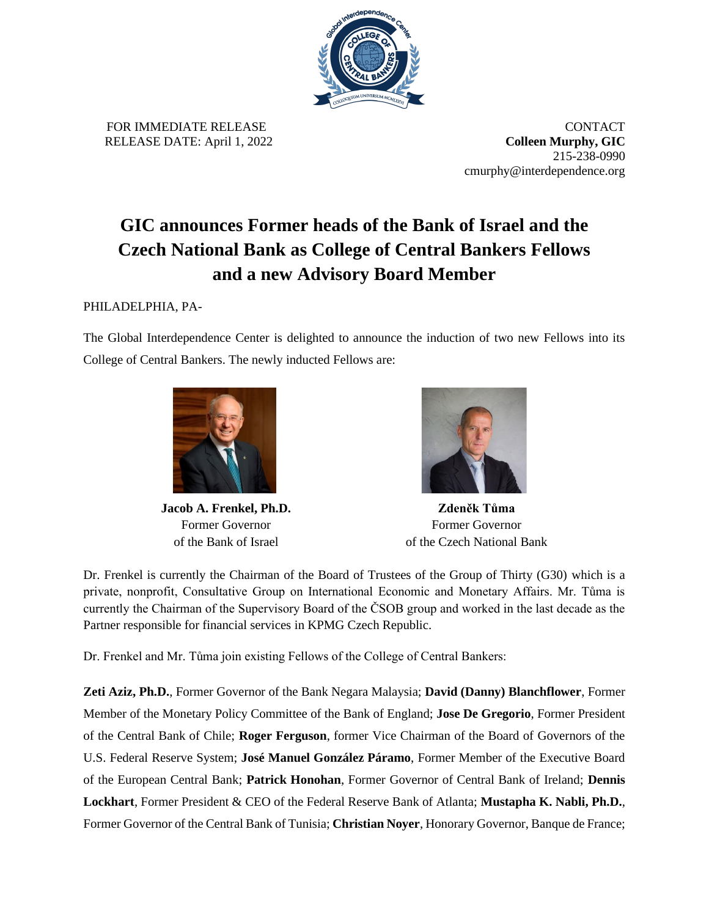

FOR IMMEDIATE RELEASE **CONTACT** RELEASE DATE: April 1, 2022 **Colleen Murphy, GIC**

215-238-0990 cmurphy@interdependence.org

## **GIC announces Former heads of the Bank of Israel and the Czech National Bank as College of Central Bankers Fellows and a new Advisory Board Member**

## PHILADELPHIA, PA-

The Global Interdependence Center is delighted to announce the induction of two new Fellows into its College of Central Bankers. The newly inducted Fellows are:



**Jacob A. Frenkel, Ph.D.** Former Governor of the Bank of Israel



**Zdeněk Tůma** Former Governor of the Czech National Bank

Dr. Frenkel is currently the Chairman of the Board of Trustees of the Group of Thirty (G30) which is a private, nonprofit, Consultative Group on International Economic and Monetary Affairs. Mr. Tůma is currently the Chairman of the Supervisory Board of the ČSOB group and worked in the last decade as the Partner responsible for financial services in KPMG Czech Republic.

Dr. Frenkel and Mr. Tůma join existing Fellows of the College of Central Bankers:

**Zeti Aziz, Ph.D.**, Former Governor of the Bank Negara Malaysia; **David (Danny) Blanchflower**, Former Member of the Monetary Policy Committee of the Bank of England; **Jose De Gregorio**, Former President of the Central Bank of Chile; **Roger Ferguson**, former Vice Chairman of the Board of Governors of the U.S. Federal Reserve System; **José Manuel González Páramo**, Former Member of the Executive Board of the European Central Bank; **Patrick Honohan**, Former Governor of Central Bank of Ireland; **Dennis Lockhart**, Former President & CEO of the Federal Reserve Bank of Atlanta; **Mustapha K. Nabli, Ph.D.**, Former Governor of the Central Bank of Tunisia; **Christian Noyer**, Honorary Governor, Banque de France;